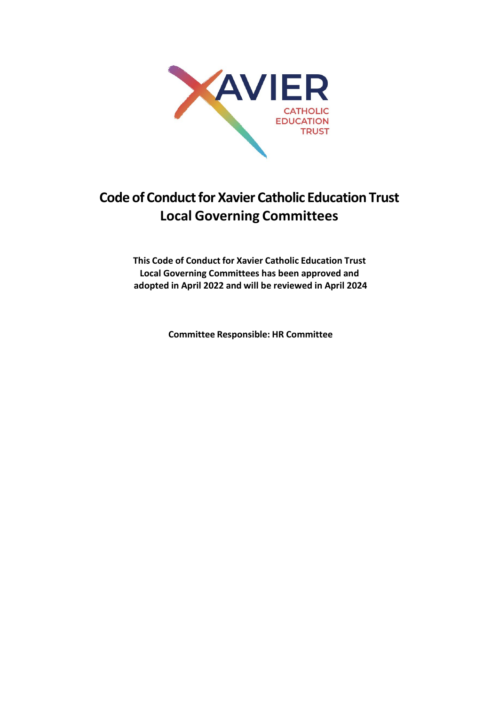

# **Code of Conduct for Xavier Catholic Education Trust Local Governing Committees**

**This Code of Conduct for Xavier Catholic Education Trust Local Governing Committees has been approved and adopted in April 2022 and will be reviewed in April 2024**

**Committee Responsible: HR Committee**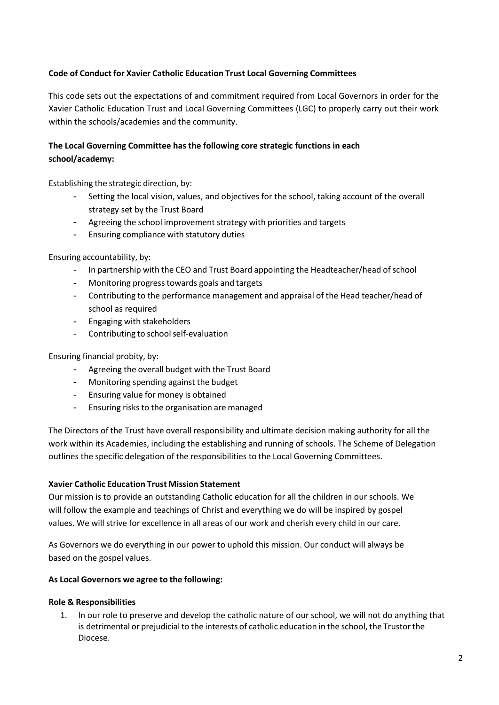# **Code of Conduct for Xavier Catholic Education Trust Local Governing Committees**

This code sets out the expectations of and commitment required from Local Governors in order for the Xavier Catholic Education Trust and Local Governing Committees (LGC) to properly carry out their work within the schools/academies and the community.

# **The Local Governing Committee has the following core strategic functions in each school/academy:**

Establishing the strategic direction, by:

- Setting the local vision, values, and objectives for the school, taking account of the overall strategy set by the Trust Board
- Agreeing the school improvement strategy with priorities and targets
- Ensuring compliance with statutory duties

Ensuring accountability, by:

- In partnership with the CEO and Trust Board appointing the Headteacher/head of school
- Monitoring progresstowards goals and targets
- Contributing to the performance management and appraisal of the Head teacher/head of school as required
- Engaging with stakeholders
- Contributing to school self-evaluation

#### Ensuring financial probity, by:

- Agreeing the overall budget with the Trust Board
- Monitoring spending against the budget
- Ensuring value for money is obtained
- Ensuring risks to the organisation are managed

The Directors of the Trust have overall responsibility and ultimate decision making authority for all the work within its Academies, including the establishing and running of schools. The Scheme of Delegation outlines the specific delegation of the responsibilities to the Local Governing Committees.

#### **Xavier Catholic Education Trust Mission Statement**

Our mission is to provide an outstanding Catholic education for all the children in our schools. We will follow the example and teachings of Christ and everything we do will be inspired by gospel values. We will strive for excellence in all areas of our work and cherish every child in our care.

As Governors we do everything in our power to uphold this mission. Our conduct will always be based on the gospel values.

#### **As Local Governors we agree to the following:**

#### **Role & Responsibilities**

1. In our role to preserve and develop the catholic nature of our school, we will not do anything that is detrimental or prejudicial to the interests of catholic education in the school, the Trustor the Diocese.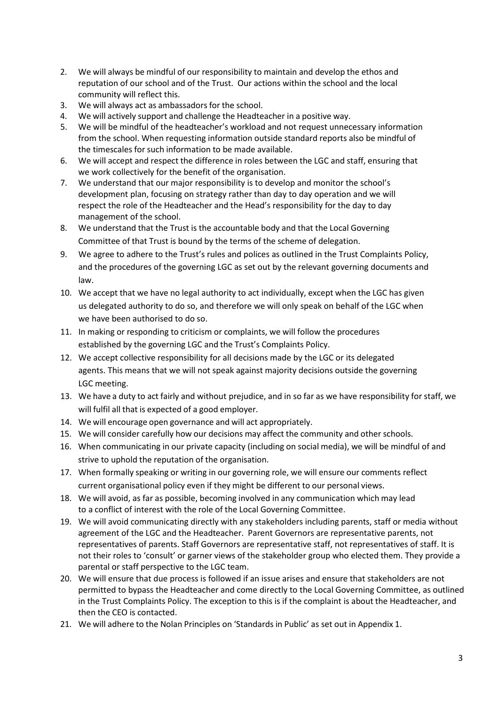- 2. We will always be mindful of our responsibility to maintain and develop the ethos and reputation of our school and of the Trust. Our actions within the school and the local community will reflect this.
- 3. We will always act as ambassadors for the school.
- 4. We will actively support and challenge the Headteacher in a positive way.
- 5. We will be mindful of the headteacher's workload and not request unnecessary information from the school. When requesting information outside standard reports also be mindful of the timescales for such information to be made available.
- 6. We will accept and respect the difference in roles between the LGC and staff, ensuring that we work collectively for the benefit of the organisation.
- 7. We understand that our major responsibility is to develop and monitor the school's development plan, focusing on strategy rather than day to day operation and we will respect the role of the Headteacher and the Head's responsibility for the day to day management of the school.
- 8. We understand that the Trust is the accountable body and that the Local Governing Committee of that Trust is bound by the terms of the scheme of delegation.
- 9. We agree to adhere to the Trust's rules and polices as outlined in the Trust Complaints Policy, and the procedures of the governing LGC as set out by the relevant governing documents and law.
- 10. We accept that we have no legal authority to act individually, except when the LGC has given us delegated authority to do so, and therefore we will only speak on behalf of the LGC when we have been authorised to do so.
- 11. In making or responding to criticism or complaints, we will follow the procedures established by the governing LGC and the Trust's Complaints Policy.
- 12. We accept collective responsibility for all decisions made by the LGC or its delegated agents. This means that we will not speak against majority decisions outside the governing LGC meeting.
- 13. We have a duty to act fairly and without prejudice, and in so far as we have responsibility for staff, we will fulfil all that is expected of a good employer.
- 14. We will encourage open governance and will act appropriately.
- 15. We will consider carefully how our decisions may affect the community and other schools.
- 16. When communicating in our private capacity (including on social media), we will be mindful of and strive to uphold the reputation of the organisation.
- 17. When formally speaking or writing in our governing role, we will ensure our comments reflect current organisational policy even if they might be different to our personal views.
- 18. We will avoid, as far as possible, becoming involved in any communication which may lead to a conflict of interest with the role of the Local Governing Committee.
- 19. We will avoid communicating directly with any stakeholders including parents, staff or media without agreement of the LGC and the Headteacher. Parent Governors are representative parents, not representatives of parents. Staff Governors are representative staff, not representatives of staff. It is not their roles to 'consult' or garner views of the stakeholder group who elected them. They provide a parental or staff perspective to the LGC team.
- 20. We will ensure that due process is followed if an issue arises and ensure that stakeholders are not permitted to bypass the Headteacher and come directly to the Local Governing Committee, as outlined in the Trust Complaints Policy. The exception to this is if the complaint is about the Headteacher, and then the CEO is contacted.
- 21. We will adhere to the Nolan Principles on 'Standards in Public' as set out in Appendix 1.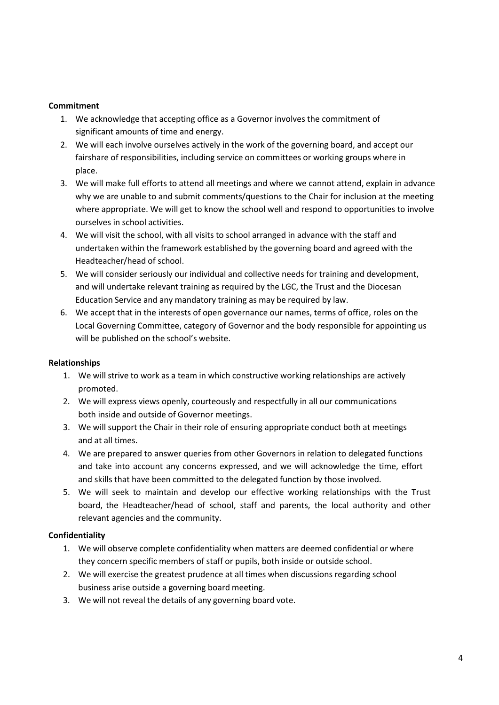#### **Commitment**

- 1. We acknowledge that accepting office as a Governor involves the commitment of significant amounts of time and energy.
- 2. We will each involve ourselves actively in the work of the governing board, and accept our fairshare of responsibilities, including service on committees or working groups where in place.
- 3. We will make full efforts to attend all meetings and where we cannot attend, explain in advance why we are unable to and submit comments/questions to the Chair for inclusion at the meeting where appropriate. We will get to know the school well and respond to opportunities to involve ourselves in school activities.
- 4. We will visit the school, with all visits to school arranged in advance with the staff and undertaken within the framework established by the governing board and agreed with the Headteacher/head of school.
- 5. We will consider seriously our individual and collective needs for training and development, and will undertake relevant training as required by the LGC, the Trust and the Diocesan Education Service and any mandatory training as may be required by law.
- 6. We accept that in the interests of open governance our names, terms of office, roles on the Local Governing Committee, category of Governor and the body responsible for appointing us will be published on the school's website.

# **Relationships**

- 1. We will strive to work as a team in which constructive working relationships are actively promoted.
- 2. We will express views openly, courteously and respectfully in all our communications both inside and outside of Governor meetings.
- 3. We will support the Chair in their role of ensuring appropriate conduct both at meetings and at all times.
- 4. We are prepared to answer queries from other Governors in relation to delegated functions and take into account any concerns expressed, and we will acknowledge the time, effort and skills that have been committed to the delegated function by those involved.
- 5. We will seek to maintain and develop our effective working relationships with the Trust board, the Headteacher/head of school, staff and parents, the local authority and other relevant agencies and the community.

# **Confidentiality**

- 1. We will observe complete confidentiality when matters are deemed confidential or where they concern specific members of staff or pupils, both inside or outside school.
- 2. We will exercise the greatest prudence at all times when discussions regarding school business arise outside a governing board meeting.
- 3. We will not reveal the details of any governing board vote.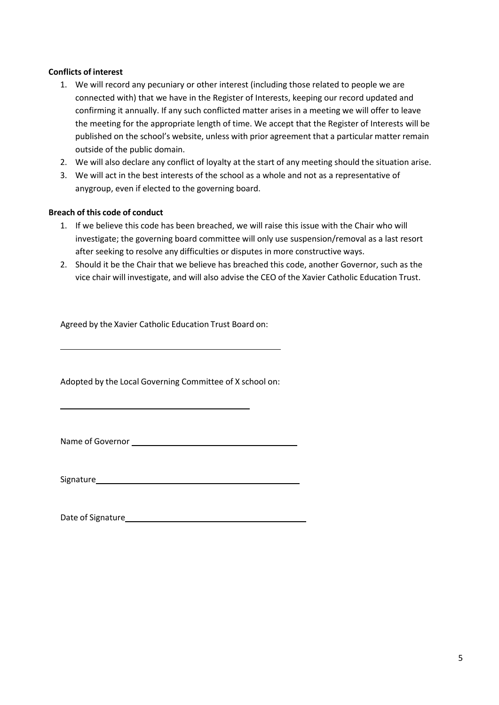# **Conflicts of interest**

- 1. We will record any pecuniary or other interest (including those related to people we are connected with) that we have in the Register of Interests, keeping our record updated and confirming it annually. If any such conflicted matter arises in a meeting we will offer to leave the meeting for the appropriate length of time. We accept that the Register of Interests will be published on the school's website, unless with prior agreement that a particular matter remain outside of the public domain.
- 2. We will also declare any conflict of loyalty at the start of any meeting should the situation arise.
- 3. We will act in the best interests of the school as a whole and not as a representative of anygroup, even if elected to the governing board.

#### **Breach of this code of conduct**

- 1. If we believe this code has been breached, we will raise this issue with the Chair who will investigate; the governing board committee will only use suspension/removal as a last resort after seeking to resolve any difficulties or disputes in more constructive ways.
- 2. Should it be the Chair that we believe has breached this code, another Governor, such as the vice chair will investigate, and will also advise the CEO of the Xavier Catholic Education Trust.

Agreed by the Xavier Catholic Education Trust Board on:

Adopted by the Local Governing Committee of X school on:

Name of Governor

Signature

Date of Signature